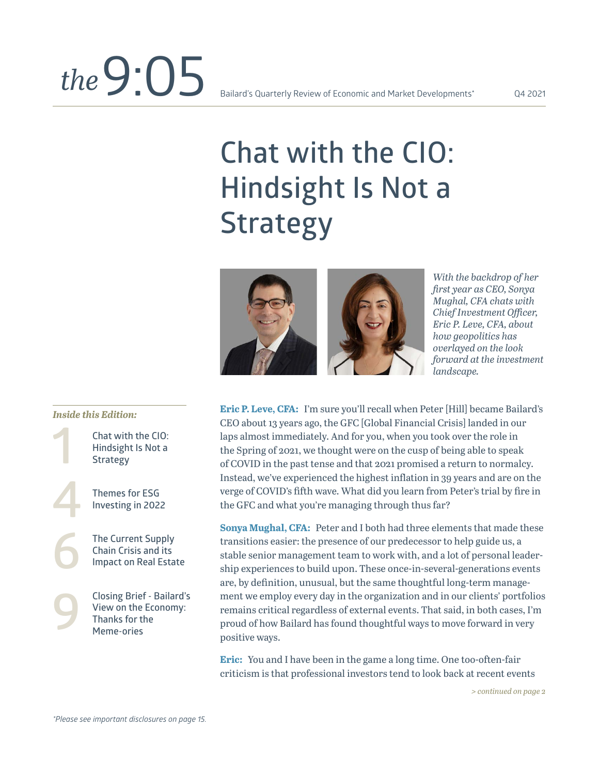# **Chat with the CIO: Hindsight Is Not a Strategy**



*With the backdrop of her first year as CEO, Sonya Mughal, CFA chats with Chief Investment Officer, Eric P. Leve, CFA, about how geopolitics has overlayed on the look forward at the investment landscape.* 

**Eric P. Leve, CFA:** I'm sure you'll recall when Peter [Hill] became Bailard's CEO about 13 years ago, the GFC [Global Financial Crisis] landed in our laps almost immediately. And for you, when you took over the role in the Spring of 2021, we thought were on the cusp of being able to speak of COVID in the past tense and that 2021 promised a return to normalcy. Instead, we've experienced the highest inflation in 39 years and are on the verge of COVID's fifth wave. What did you learn from Peter's trial by fire in the GFC and what you're managing through thus far?

**Sonya Mughal, CFA:** Peter and I both had three elements that made these transitions easier: the presence of our predecessor to help guide us, a stable senior management team to work with, and a lot of personal leadership experiences to build upon. These once-in-several-generations events are, by definition, unusual, but the same thoughtful long-term management we employ every day in the organization and in our clients' portfolios remains critical regardless of external events. That said, in both cases, I'm proud of how Bailard has found thoughtful ways to move forward in very positive ways.

**Eric:** You and I have been in the game a long time. One too-often-fair criticism is that professional investors tend to look back at recent events

*> continued on page 2* 

#### *Inside this Edition:*

**1 4 6 Chat with the CIO: Hindsight Is Not a Strategy Themes for ESG Investing in 2022** 

**9**

**The Current Supply Chain Crisis and its Impact on Real Estate**

**Closing Brief - Bailard's View on the Economy: Thanks for the Meme-ories**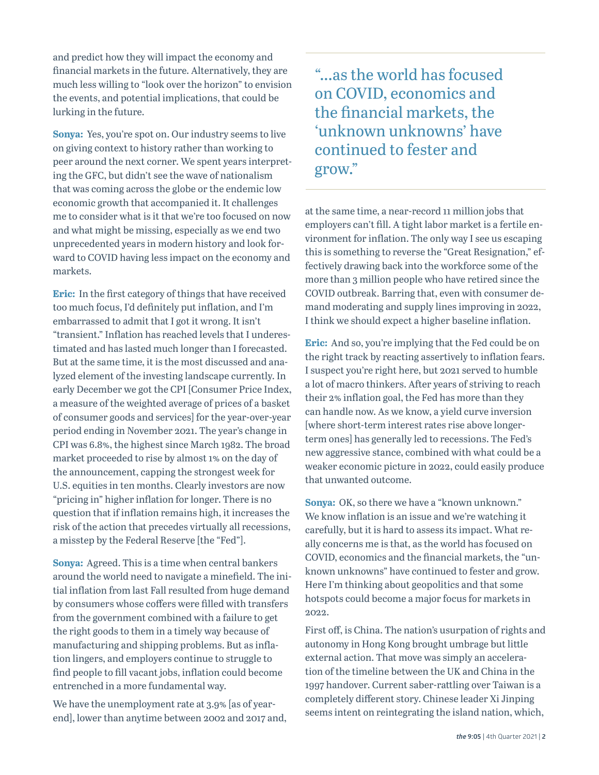and predict how they will impact the economy and financial markets in the future. Alternatively, they are much less willing to "look over the horizon" to envision the events, and potential implications, that could be lurking in the future.

**Sonya:** Yes, you're spot on. Our industry seems to live on giving context to history rather than working to peer around the next corner. We spent years interpreting the GFC, but didn't see the wave of nationalism that was coming across the globe or the endemic low economic growth that accompanied it. It challenges me to consider what is it that we're too focused on now and what might be missing, especially as we end two unprecedented years in modern history and look forward to COVID having less impact on the economy and markets.

**Eric:** In the first category of things that have received too much focus, I'd definitely put inflation, and I'm embarrassed to admit that I got it wrong. It isn't "transient." Inflation has reached levels that I underestimated and has lasted much longer than I forecasted. But at the same time, it is the most discussed and analyzed element of the investing landscape currently. In early December we got the CPI [Consumer Price Index, a measure of the weighted average of prices of a basket of consumer goods and services] for the year-over-year period ending in November 2021. The year's change in CPI was 6.8%, the highest since March 1982. The broad market proceeded to rise by almost 1% on the day of the announcement, capping the strongest week for U.S. equities in ten months. Clearly investors are now "pricing in" higher inflation for longer. There is no question that if inflation remains high, it increases the risk of the action that precedes virtually all recessions, a misstep by the Federal Reserve [the "Fed"].

**Sonya:** Agreed. This is a time when central bankers around the world need to navigate a minefield. The initial inflation from last Fall resulted from huge demand by consumers whose coffers were filled with transfers from the government combined with a failure to get the right goods to them in a timely way because of manufacturing and shipping problems. But as inflation lingers, and employers continue to struggle to find people to fill vacant jobs, inflation could become entrenched in a more fundamental way.

We have the unemployment rate at 3.9% [as of yearend], lower than anytime between 2002 and 2017 and, "...as the world has focused on COVID, economics and the financial markets, the 'unknown unknowns' have continued to fester and grow."

at the same time, a near-record 11 million jobs that employers can't fill. A tight labor market is a fertile environment for inflation. The only way I see us escaping this is something to reverse the "Great Resignation," effectively drawing back into the workforce some of the more than 3 million people who have retired since the COVID outbreak. Barring that, even with consumer demand moderating and supply lines improving in 2022, I think we should expect a higher baseline inflation.

**Eric:** And so, you're implying that the Fed could be on the right track by reacting assertively to inflation fears. I suspect you're right here, but 2021 served to humble a lot of macro thinkers. After years of striving to reach their 2% inflation goal, the Fed has more than they can handle now. As we know, a yield curve inversion [where short-term interest rates rise above longerterm ones] has generally led to recessions. The Fed's new aggressive stance, combined with what could be a weaker economic picture in 2022, could easily produce that unwanted outcome.

**Sonya:** OK, so there we have a "known unknown." We know inflation is an issue and we're watching it carefully, but it is hard to assess its impact. What really concerns me is that, as the world has focused on COVID, economics and the financial markets, the "unknown unknowns" have continued to fester and grow. Here I'm thinking about geopolitics and that some hotspots could become a major focus for markets in 2022.

First off, is China. The nation's usurpation of rights and autonomy in Hong Kong brought umbrage but little external action. That move was simply an acceleration of the timeline between the UK and China in the 1997 handover. Current saber-rattling over Taiwan is a completely different story. Chinese leader Xi Jinping seems intent on reintegrating the island nation, which,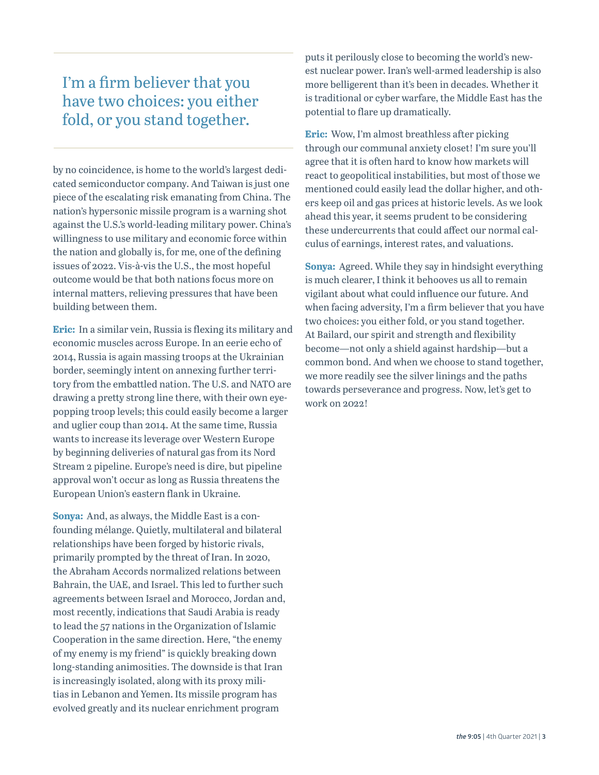### I'm a firm believer that you have two choices: you either fold, or you stand together.

by no coincidence, is home to the world's largest dedicated semiconductor company. And Taiwan is just one piece of the escalating risk emanating from China. The nation's hypersonic missile program is a warning shot against the U.S.'s world-leading military power. China's willingness to use military and economic force within the nation and globally is, for me, one of the defining issues of 2022. Vis-à-vis the U.S., the most hopeful outcome would be that both nations focus more on internal matters, relieving pressures that have been building between them.

**Eric:** In a similar vein, Russia is flexing its military and economic muscles across Europe. In an eerie echo of 2014, Russia is again massing troops at the Ukrainian border, seemingly intent on annexing further territory from the embattled nation. The U.S. and NATO are drawing a pretty strong line there, with their own eyepopping troop levels; this could easily become a larger and uglier coup than 2014. At the same time, Russia wants to increase its leverage over Western Europe by beginning deliveries of natural gas from its Nord Stream 2 pipeline. Europe's need is dire, but pipeline approval won't occur as long as Russia threatens the European Union's eastern flank in Ukraine.

**Sonya:** And, as always, the Middle East is a confounding mélange. Quietly, multilateral and bilateral relationships have been forged by historic rivals, primarily prompted by the threat of Iran. In 2020, the Abraham Accords normalized relations between Bahrain, the UAE, and Israel. This led to further such agreements between Israel and Morocco, Jordan and, most recently, indications that Saudi Arabia is ready to lead the 57 nations in the Organization of Islamic Cooperation in the same direction. Here, "the enemy of my enemy is my friend" is quickly breaking down long-standing animosities. The downside is that Iran is increasingly isolated, along with its proxy militias in Lebanon and Yemen. Its missile program has evolved greatly and its nuclear enrichment program

puts it perilously close to becoming the world's newest nuclear power. Iran's well-armed leadership is also more belligerent than it's been in decades. Whether it is traditional or cyber warfare, the Middle East has the potential to flare up dramatically.

**Eric:** Wow, I'm almost breathless after picking through our communal anxiety closet! I'm sure you'll agree that it is often hard to know how markets will react to geopolitical instabilities, but most of those we mentioned could easily lead the dollar higher, and others keep oil and gas prices at historic levels. As we look ahead this year, it seems prudent to be considering these undercurrents that could affect our normal calculus of earnings, interest rates, and valuations.

**Sonya:** Agreed. While they say in hindsight everything is much clearer, I think it behooves us all to remain vigilant about what could influence our future. And when facing adversity, I'm a firm believer that you have two choices: you either fold, or you stand together. At Bailard, our spirit and strength and flexibility become—not only a shield against hardship—but a common bond. And when we choose to stand together, we more readily see the silver linings and the paths towards perseverance and progress. Now, let's get to work on 2022!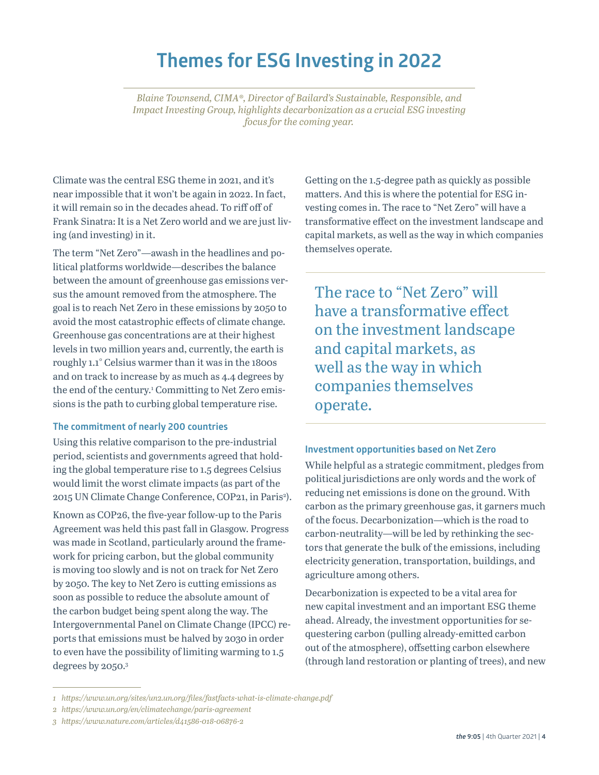### **Themes for ESG Investing in 2022**

*Blaine Townsend, CIMA®, Director of Bailard's Sustainable, Responsible, and Impact Investing Group, highlights decarbonization as a crucial ESG investing focus for the coming year.* 

Climate was the central ESG theme in 2021, and it's near impossible that it won't be again in 2022. In fact, it will remain so in the decades ahead. To riff off of Frank Sinatra: It is a Net Zero world and we are just living (and investing) in it.

The term "Net Zero"—awash in the headlines and political platforms worldwide—describes the balance between the amount of greenhouse gas emissions versus the amount removed from the atmosphere. The goal is to reach Net Zero in these emissions by 2050 to avoid the most catastrophic effects of climate change. Greenhouse gas concentrations are at their highest levels in two million years and, currently, the earth is roughly 1.1° Celsius warmer than it was in the 1800s and on track to increase by as much as 4.4 degrees by the end of the century.<sup>1</sup> Committing to Net Zero emissions is the path to curbing global temperature rise.

#### **The commitment of nearly 200 countries**

Using this relative comparison to the pre-industrial period, scientists and governments agreed that holding the global temperature rise to 1.5 degrees Celsius would limit the worst climate impacts (as part of the 2015 UN Climate Change Conference, COP21, in Paris<sup>2</sup>).

Known as COP26, the five-year follow-up to the Paris Agreement was held this past fall in Glasgow. Progress was made in Scotland, particularly around the framework for pricing carbon, but the global community is moving too slowly and is not on track for Net Zero by 2050. The key to Net Zero is cutting emissions as soon as possible to reduce the absolute amount of the carbon budget being spent along the way. The Intergovernmental Panel on Climate Change (IPCC) reports that emissions must be halved by 2030 in order to even have the possibility of limiting warming to 1.5 degrees by 2050.3

Getting on the 1.5-degree path as quickly as possible matters. And this is where the potential for ESG investing comes in. The race to "Net Zero" will have a transformative effect on the investment landscape and capital markets, as well as the way in which companies themselves operate.

The race to "Net Zero" will have a transformative effect on the investment landscape and capital markets, as well as the way in which companies themselves operate.

#### **Investment opportunities based on Net Zero**

While helpful as a strategic commitment, pledges from political jurisdictions are only words and the work of reducing net emissions is done on the ground. With carbon as the primary greenhouse gas, it garners much of the focus. Decarbonization—which is the road to carbon-neutrality—will be led by rethinking the sectors that generate the bulk of the emissions, including electricity generation, transportation, buildings, and agriculture among others.

Decarbonization is expected to be a vital area for new capital investment and an important ESG theme ahead. Already, the investment opportunities for sequestering carbon (pulling already-emitted carbon out of the atmosphere), offsetting carbon elsewhere (through land restoration or planting of trees), and new

*<sup>1</sup> https://www.un.org/sites/un2.un.org/files/fastfacts-what-is-climate-change.pdf*

*<sup>2</sup> https://www.un.org/en/climatechange/paris-agreement*

*<sup>3</sup> https://www.nature.com/articles/d41586-018-06876-2*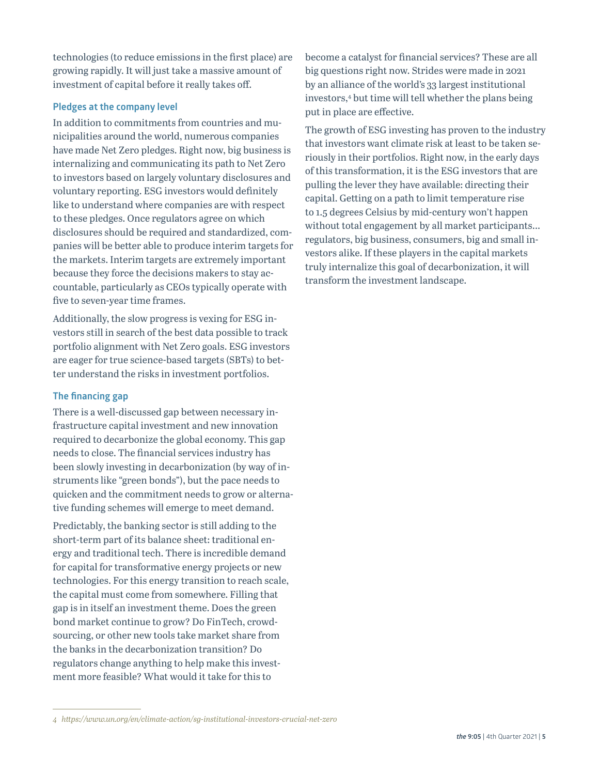technologies (to reduce emissions in the first place) are growing rapidly. It will just take a massive amount of investment of capital before it really takes off.

#### **Pledges at the company level**

In addition to commitments from countries and municipalities around the world, numerous companies have made Net Zero pledges. Right now, big business is internalizing and communicating its path to Net Zero to investors based on largely voluntary disclosures and voluntary reporting. ESG investors would definitely like to understand where companies are with respect to these pledges. Once regulators agree on which disclosures should be required and standardized, companies will be better able to produce interim targets for the markets. Interim targets are extremely important because they force the decisions makers to stay accountable, particularly as CEOs typically operate with five to seven-year time frames.

Additionally, the slow progress is vexing for ESG investors still in search of the best data possible to track portfolio alignment with Net Zero goals. ESG investors are eager for true science-based targets (SBTs) to better understand the risks in investment portfolios.

#### **The financing gap**

There is a well-discussed gap between necessary infrastructure capital investment and new innovation required to decarbonize the global economy. This gap needs to close. The financial services industry has been slowly investing in decarbonization (by way of instruments like "green bonds"), but the pace needs to quicken and the commitment needs to grow or alternative funding schemes will emerge to meet demand.

Predictably, the banking sector is still adding to the short-term part of its balance sheet: traditional energy and traditional tech. There is incredible demand for capital for transformative energy projects or new technologies. For this energy transition to reach scale, the capital must come from somewhere. Filling that gap is in itself an investment theme. Does the green bond market continue to grow? Do FinTech, crowdsourcing, or other new tools take market share from the banks in the decarbonization transition? Do regulators change anything to help make this investment more feasible? What would it take for this to

become a catalyst for financial services? These are all big questions right now. Strides were made in 2021 by an alliance of the world's 33 largest institutional investors,4 but time will tell whether the plans being put in place are effective.

The growth of ESG investing has proven to the industry that investors want climate risk at least to be taken seriously in their portfolios. Right now, in the early days of this transformation, it is the ESG investors that are pulling the lever they have available: directing their capital. Getting on a path to limit temperature rise to 1.5 degrees Celsius by mid-century won't happen without total engagement by all market participants... regulators, big business, consumers, big and small investors alike. If these players in the capital markets truly internalize this goal of decarbonization, it will transform the investment landscape.

*<sup>4</sup> https://www.un.org/en/climate-action/sg-institutional-investors-crucial-net-zero*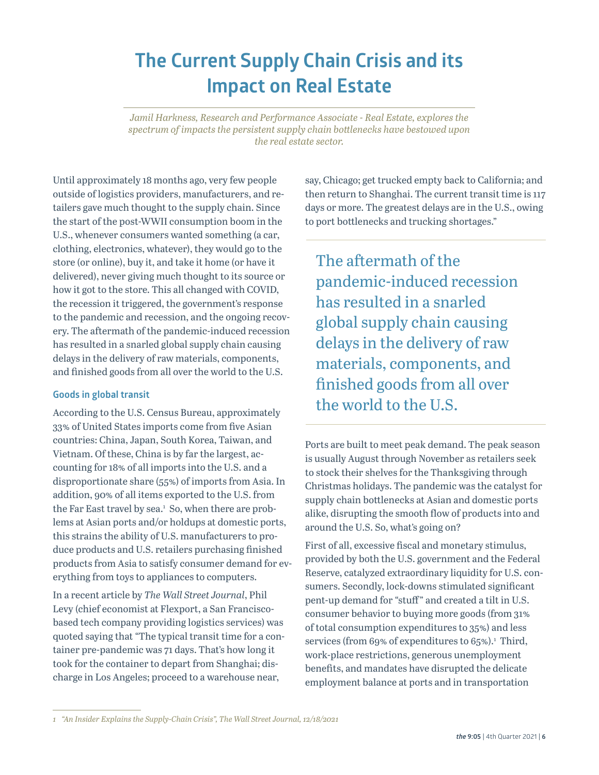## **The Current Supply Chain Crisis and its Impact on Real Estate**

*Jamil Harkness, Research and Performance Associate - Real Estate, explores the spectrum of impacts the persistent supply chain bottlenecks have bestowed upon the real estate sector.* 

Until approximately 18 months ago, very few people outside of logistics providers, manufacturers, and retailers gave much thought to the supply chain. Since the start of the post-WWII consumption boom in the U.S., whenever consumers wanted something (a car, clothing, electronics, whatever), they would go to the store (or online), buy it, and take it home (or have it delivered), never giving much thought to its source or how it got to the store. This all changed with COVID, the recession it triggered, the government's response to the pandemic and recession, and the ongoing recovery. The aftermath of the pandemic-induced recession has resulted in a snarled global supply chain causing delays in the delivery of raw materials, components, and finished goods from all over the world to the U.S.

#### **Goods in global transit**

According to the U.S. Census Bureau, approximately 33% of United States imports come from five Asian countries: China, Japan, South Korea, Taiwan, and Vietnam. Of these, China is by far the largest, accounting for 18% of all imports into the U.S. and a disproportionate share (55%) of imports from Asia. In addition, 90% of all items exported to the U.S. from the Far East travel by sea.<sup>1</sup> So, when there are problems at Asian ports and/or holdups at domestic ports, this strains the ability of U.S. manufacturers to produce products and U.S. retailers purchasing finished products from Asia to satisfy consumer demand for everything from toys to appliances to computers.

In a recent article by *The Wall Street Journal*, Phil Levy (chief economist at Flexport, a San Franciscobased tech company providing logistics services) was quoted saying that "The typical transit time for a container pre-pandemic was 71 days. That's how long it took for the container to depart from Shanghai; discharge in Los Angeles; proceed to a warehouse near,

say, Chicago; get trucked empty back to California; and then return to Shanghai. The current transit time is 117 days or more. The greatest delays are in the U.S., owing to port bottlenecks and trucking shortages."

The aftermath of the pandemic-induced recession has resulted in a snarled global supply chain causing delays in the delivery of raw materials, components, and finished goods from all over the world to the U.S.

Ports are built to meet peak demand. The peak season is usually August through November as retailers seek to stock their shelves for the Thanksgiving through Christmas holidays. The pandemic was the catalyst for supply chain bottlenecks at Asian and domestic ports alike, disrupting the smooth flow of products into and around the U.S. So, what's going on?

First of all, excessive fiscal and monetary stimulus, provided by both the U.S. government and the Federal Reserve, catalyzed extraordinary liquidity for U.S. consumers. Secondly, lock-downs stimulated significant pent-up demand for "stuff" and created a tilt in U.S. consumer behavior to buying more goods (from 31% of total consumption expenditures to 35%) and less services (from 69% of expenditures to  $65\%$ ).<sup>1</sup> Third, work-place restrictions, generous unemployment benefits, and mandates have disrupted the delicate employment balance at ports and in transportation

*<sup>1</sup> "An Insider Explains the Supply-Chain Crisis", The Wall Street Journal, 12/18/2021*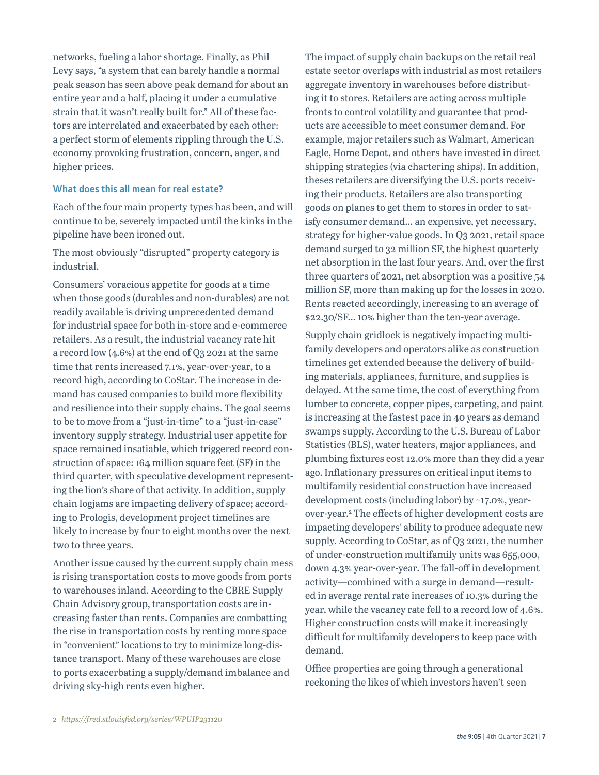networks, fueling a labor shortage. Finally, as Phil Levy says, "a system that can barely handle a normal peak season has seen above peak demand for about an entire year and a half, placing it under a cumulative strain that it wasn't really built for." All of these factors are interrelated and exacerbated by each other: a perfect storm of elements rippling through the U.S. economy provoking frustration, concern, anger, and higher prices.

#### **What does this all mean for real estate?**

Each of the four main property types has been, and will continue to be, severely impacted until the kinks in the pipeline have been ironed out.

The most obviously "disrupted" property category is industrial.

Consumers' voracious appetite for goods at a time when those goods (durables and non-durables) are not readily available is driving unprecedented demand for industrial space for both in-store and e-commerce retailers. As a result, the industrial vacancy rate hit a record low (4.6%) at the end of Q3 2021 at the same time that rents increased 7.1%, year-over-year, to a record high, according to CoStar. The increase in demand has caused companies to build more flexibility and resilience into their supply chains. The goal seems to be to move from a "just-in-time" to a "just-in-case" inventory supply strategy. Industrial user appetite for space remained insatiable, which triggered record construction of space: 164 million square feet (SF) in the third quarter, with speculative development representing the lion's share of that activity. In addition, supply chain logjams are impacting delivery of space; according to Prologis, development project timelines are likely to increase by four to eight months over the next two to three years.

Another issue caused by the current supply chain mess is rising transportation costs to move goods from ports to warehouses inland. According to the CBRE Supply Chain Advisory group, transportation costs are increasing faster than rents. Companies are combatting the rise in transportation costs by renting more space in "convenient" locations to try to minimize long-distance transport. Many of these warehouses are close to ports exacerbating a supply/demand imbalance and driving sky-high rents even higher.

The impact of supply chain backups on the retail real estate sector overlaps with industrial as most retailers aggregate inventory in warehouses before distributing it to stores. Retailers are acting across multiple fronts to control volatility and guarantee that products are accessible to meet consumer demand. For example, major retailers such as Walmart, American Eagle, Home Depot, and others have invested in direct shipping strategies (via chartering ships). In addition, theses retailers are diversifying the U.S. ports receiving their products. Retailers are also transporting goods on planes to get them to stores in order to satisfy consumer demand… an expensive, yet necessary, strategy for higher-value goods. In Q3 2021, retail space demand surged to 32 million SF, the highest quarterly net absorption in the last four years. And, over the first three quarters of 2021, net absorption was a positive 54 million SF, more than making up for the losses in 2020. Rents reacted accordingly, increasing to an average of \$22.30/SF… 10% higher than the ten-year average.

Supply chain gridlock is negatively impacting multifamily developers and operators alike as construction timelines get extended because the delivery of building materials, appliances, furniture, and supplies is delayed. At the same time, the cost of everything from lumber to concrete, copper pipes, carpeting, and paint is increasing at the fastest pace in 40 years as demand swamps supply. According to the U.S. Bureau of Labor Statistics (BLS), water heaters, major appliances, and plumbing fixtures cost 12.0% more than they did a year ago. Inflationary pressures on critical input items to multifamily residential construction have increased development costs (including labor) by ~17.0%, yearover-year.2 The effects of higher development costs are impacting developers' ability to produce adequate new supply. According to CoStar, as of Q3 2021, the number of under-construction multifamily units was 655,000, down 4.3% year-over-year. The fall-off in development activity—combined with a surge in demand—resulted in average rental rate increases of 10.3% during the year, while the vacancy rate fell to a record low of 4.6%. Higher construction costs will make it increasingly difficult for multifamily developers to keep pace with demand.

Office properties are going through a generational reckoning the likes of which investors haven't seen

*<sup>2</sup> https://fred.stlouisfed.org/series/WPUIP231120*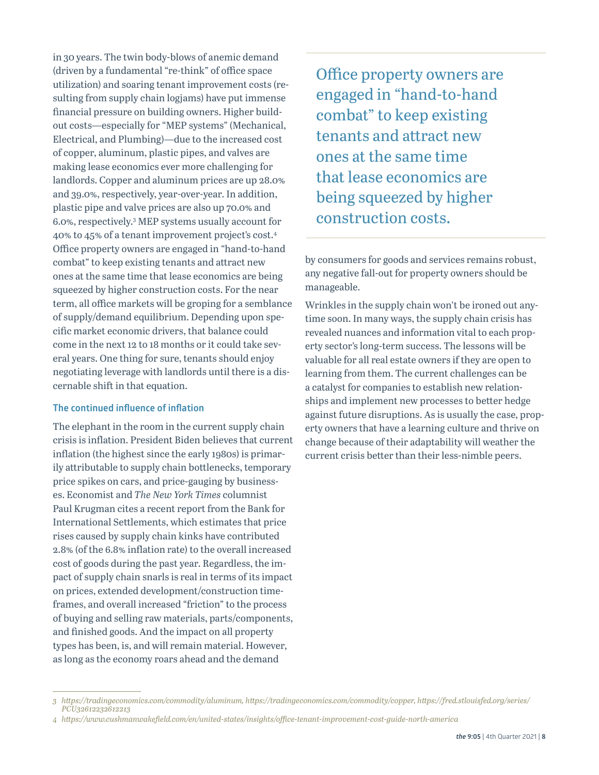in 30 years. The twin body-blows of anemic demand (driven by a fundamental "re-think" of office space utilization) and soaring tenant improvement costs (resulting from supply chain logjams) have put immense financial pressure on building owners. Higher buildout costs—especially for "MEP systems" (Mechanical, Electrical, and Plumbing)—due to the increased cost of copper, aluminum, plastic pipes, and valves are making lease economics ever more challenging for landlords. Copper and aluminum prices are up 28.0% and 39.0%, respectively, year-over-year. In addition, plastic pipe and valve prices are also up 70.0% and 6.0%, respectively.3 MEP systems usually account for 40% to 45% of a tenant improvement project's cost.4 Office property owners are engaged in "hand-to-hand combat" to keep existing tenants and attract new ones at the same time that lease economics are being squeezed by higher construction costs. For the near term, all office markets will be groping for a semblance of supply/demand equilibrium. Depending upon specific market economic drivers, that balance could come in the next 12 to 18 months or it could take several years. One thing for sure, tenants should enjoy negotiating leverage with landlords until there is a discernable shift in that equation.

#### **The continued influence of inflation**

The elephant in the room in the current supply chain crisis is inflation. President Biden believes that current inflation (the highest since the early 1980s) is primarily attributable to supply chain bottlenecks, temporary price spikes on cars, and price-gauging by businesses. Economist and *The New York Times* columnist Paul Krugman cites a recent report from the Bank for International Settlements, which estimates that price rises caused by supply chain kinks have contributed 2.8% (of the 6.8% inflation rate) to the overall increased cost of goods during the past year. Regardless, the impact of supply chain snarls is real in terms of its impact on prices, extended development/construction timeframes, and overall increased "friction" to the process of buying and selling raw materials, parts/components, and finished goods. And the impact on all property types has been, is, and will remain material. However, as long as the economy roars ahead and the demand

Office property owners are engaged in "hand-to-hand combat" to keep existing tenants and attract new ones at the same time that lease economics are being squeezed by higher construction costs.

by consumers for goods and services remains robust, any negative fall-out for property owners should be manageable.

Wrinkles in the supply chain won't be ironed out anytime soon. In many ways, the supply chain crisis has revealed nuances and information vital to each property sector's long-term success. The lessons will be valuable for all real estate owners if they are open to learning from them. The current challenges can be a catalyst for companies to establish new relationships and implement new processes to better hedge against future disruptions. As is usually the case, property owners that have a learning culture and thrive on change because of their adaptability will weather the current crisis better than their less-nimble peers.

*<sup>3</sup> https://tradingeconomics.com/commodity/aluminum, https://tradingeconomics.com/commodity/copper, https://fred.stlouisfed.org/series/ PCU32612232612213*

*<sup>4</sup> https://www.cushmanwakefield.com/en/united-states/insights/office-tenant-improvement-cost-guide-north-america*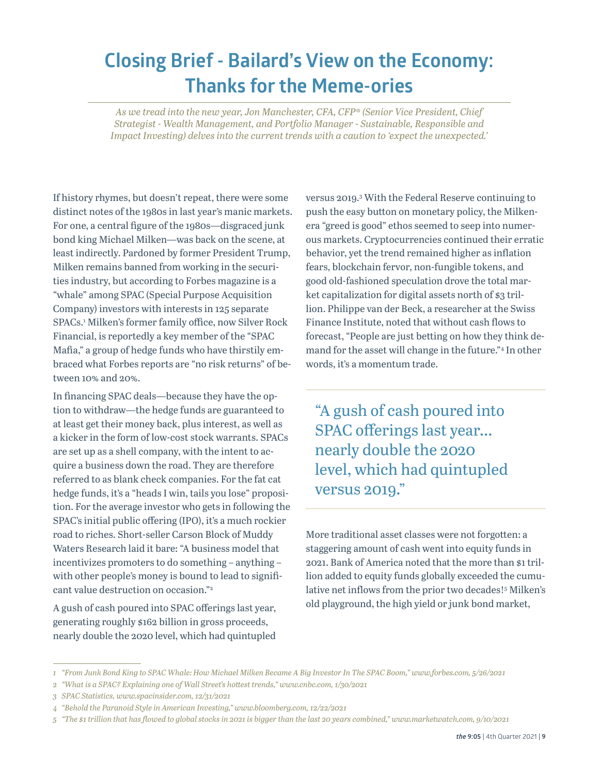### **Closing Brief - Bailard's View on the Economy: Thanks for the Meme-ories**

*As we tread into the new year, Jon Manchester, CFA, CFP® (Senior Vice President, Chief Strategist - Wealth Management, and Portfolio Manager - Sustainable, Responsible and Impact Investing) delves into the current trends with a caution to 'expect the unexpected.'*

If history rhymes, but doesn't repeat, there were some distinct notes of the 1980s in last year's manic markets. For one, a central figure of the 1980s—disgraced junk bond king Michael Milken—was back on the scene, at least indirectly. Pardoned by former President Trump, Milken remains banned from working in the securities industry, but according to Forbes magazine is a "whale" among SPAC (Special Purpose Acquisition Company) investors with interests in 125 separate SPACs.1 Milken's former family office, now Silver Rock Financial, is reportedly a key member of the "SPAC Mafia," a group of hedge funds who have thirstily embraced what Forbes reports are "no risk returns" of between 10% and 20%.

In financing SPAC deals—because they have the option to withdraw—the hedge funds are guaranteed to at least get their money back, plus interest, as well as a kicker in the form of low-cost stock warrants. SPACs are set up as a shell company, with the intent to acquire a business down the road. They are therefore referred to as blank check companies. For the fat cat hedge funds, it's a "heads I win, tails you lose" proposition. For the average investor who gets in following the SPAC's initial public offering (IPO), it's a much rockier road to riches. Short-seller Carson Block of Muddy Waters Research laid it bare: "A business model that incentivizes promoters to do something – anything – with other people's money is bound to lead to significant value destruction on occasion."2

A gush of cash poured into SPAC offerings last year, generating roughly \$162 billion in gross proceeds, nearly double the 2020 level, which had quintupled

versus 2019.3 With the Federal Reserve continuing to push the easy button on monetary policy, the Milkenera "greed is good" ethos seemed to seep into numerous markets. Cryptocurrencies continued their erratic behavior, yet the trend remained higher as inflation fears, blockchain fervor, non-fungible tokens, and good old-fashioned speculation drove the total market capitalization for digital assets north of \$3 trillion. Philippe van der Beck, a researcher at the Swiss Finance Institute, noted that without cash flows to forecast, "People are just betting on how they think demand for the asset will change in the future."4 In other words, it's a momentum trade.

"A gush of cash poured into SPAC offerings last year... nearly double the 2020 level, which had quintupled versus 2019."

More traditional asset classes were not forgotten: a staggering amount of cash went into equity funds in 2021. Bank of America noted that the more than \$1 trillion added to equity funds globally exceeded the cumulative net inflows from the prior two decades!5 Milken's old playground, the high yield or junk bond market,

*<sup>1</sup> "From Junk Bond King to SPAC Whale: How Michael Milken Became A Big Investor In The SPAC Boom," www.forbes.com, 5/26/2021*

*<sup>2</sup> "What is a SPAC? Explaining one of Wall Street's hottest trends," www.cnbc.com, 1/30/2021*

*<sup>3</sup> SPAC Statistics, www.spacinsider.com, 12/31/2021*

*<sup>4</sup> "Behold the Paranoid Style in American Investing," www.bloomberg.com, 12/22/2021*

*<sup>5</sup> "The \$1 trillion that has flowed to global stocks in 2021 is bigger than the last 20 years combined," www.marketwatch.com, 9/10/2021*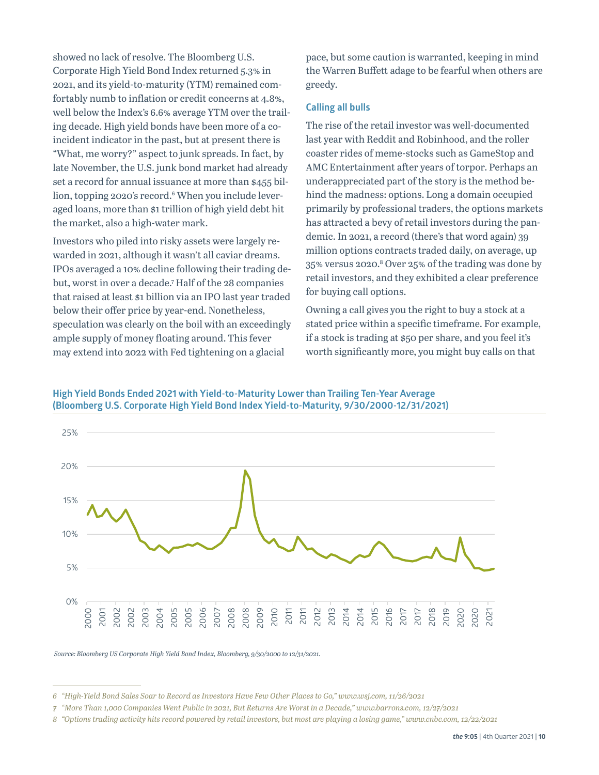showed no lack of resolve. The Bloomberg U.S. Corporate High Yield Bond Index returned 5.3% in 2021, and its yield-to-maturity (YTM) remained comfortably numb to inflation or credit concerns at 4.8%, well below the Index's 6.6% average YTM over the trailing decade. High yield bonds have been more of a coincident indicator in the past, but at present there is "What, me worry?" aspect to junk spreads. In fact, by late November, the U.S. junk bond market had already set a record for annual issuance at more than \$455 billion, topping 2020's record.<sup>6</sup> When you include leveraged loans, more than \$1 trillion of high yield debt hit the market, also a high-water mark.

Investors who piled into risky assets were largely rewarded in 2021, although it wasn't all caviar dreams. IPOs averaged a 10% decline following their trading debut, worst in over a decade.7 Half of the 28 companies that raised at least \$1 billion via an IPO last year traded below their offer price by year-end. Nonetheless, speculation was clearly on the boil with an exceedingly ample supply of money floating around. This fever may extend into 2022 with Fed tightening on a glacial

pace, but some caution is warranted, keeping in mind the Warren Buffett adage to be fearful when others are greedy.

#### **Calling all bulls**

The rise of the retail investor was well-documented last year with Reddit and Robinhood, and the roller coaster rides of meme-stocks such as GameStop and AMC Entertainment after years of torpor. Perhaps an underappreciated part of the story is the method behind the madness: options. Long a domain occupied primarily by professional traders, the options markets has attracted a bevy of retail investors during the pandemic. In 2021, a record (there's that word again) 39 million options contracts traded daily, on average, up 35% versus 2020.8 Over 25% of the trading was done by retail investors, and they exhibited a clear preference for buying call options.

Owning a call gives you the right to buy a stock at a stated price within a specific timeframe. For example, if a stock is trading at \$50 per share, and you feel it's worth significantly more, you might buy calls on that

**High Yield Bonds Ended 2021 with Yield-to-Maturity Lower than Trailing Ten-Year Average (Bloomberg U.S. Corporate High Yield Bond Index Yield-to-Maturity, 9/30/2000-12/31/2021)**



 *Source: Bloomberg US Corporate High Yield Bond Index, Bloomberg, 9/30/2000 to 12/31/2021.*

*<sup>6</sup> "High-Yield Bond Sales Soar to Record as Investors Have Few Other Places to Go," www.wsj.com, 11/26/2021*

*<sup>7</sup> "More Than 1,000 Companies Went Public in 2021, But Returns Are Worst in a Decade," www.barrons.com, 12/27/2021*

*<sup>8</sup> "Options trading activity hits record powered by retail investors, but most are playing a losing game," www.cnbc.com, 12/22/2021*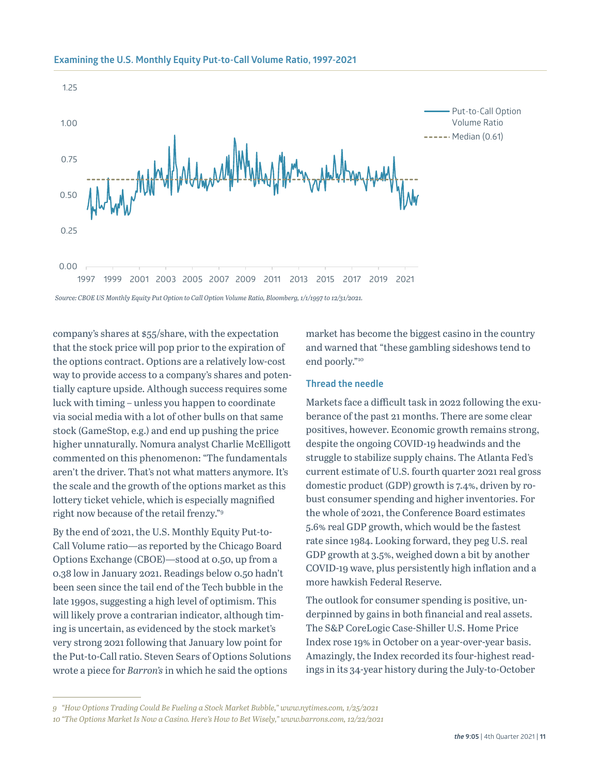

#### **Examining the U.S. Monthly Equity Put-to-Call Volume Ratio, 1997-2021**

company's shares at \$55/share, with the expectation that the stock price will pop prior to the expiration of the options contract. Options are a relatively low-cost way to provide access to a company's shares and potentially capture upside. Although success requires some luck with timing – unless you happen to coordinate via social media with a lot of other bulls on that same stock (GameStop, e.g.) and end up pushing the price higher unnaturally. Nomura analyst Charlie McElligott commented on this phenomenon: "The fundamentals aren't the driver. That's not what matters anymore. It's the scale and the growth of the options market as this lottery ticket vehicle, which is especially magnified right now because of the retail frenzy."9

By the end of 2021, the U.S. Monthly Equity Put-to-Call Volume ratio—as reported by the Chicago Board Options Exchange (CBOE)—stood at 0.50, up from a 0.38 low in January 2021. Readings below 0.50 hadn't been seen since the tail end of the Tech bubble in the late 1990s, suggesting a high level of optimism. This will likely prove a contrarian indicator, although timing is uncertain, as evidenced by the stock market's very strong 2021 following that January low point for the Put-to-Call ratio. Steven Sears of Options Solutions wrote a piece for *Barron's* in which he said the options

market has become the biggest casino in the country and warned that "these gambling sideshows tend to end poorly."10

#### **Thread the needle**

Markets face a difficult task in 2022 following the exuberance of the past 21 months. There are some clear positives, however. Economic growth remains strong, despite the ongoing COVID-19 headwinds and the struggle to stabilize supply chains. The Atlanta Fed's current estimate of U.S. fourth quarter 2021 real gross domestic product (GDP) growth is 7.4%, driven by robust consumer spending and higher inventories. For the whole of 2021, the Conference Board estimates 5.6% real GDP growth, which would be the fastest rate since 1984. Looking forward, they peg U.S. real GDP growth at 3.5%, weighed down a bit by another COVID-19 wave, plus persistently high inflation and a more hawkish Federal Reserve.

The outlook for consumer spending is positive, underpinned by gains in both financial and real assets. The S&P CoreLogic Case-Shiller U.S. Home Price Index rose 19% in October on a year-over-year basis. Amazingly, the Index recorded its four-highest readings in its 34-year history during the July-to-October

*<sup>9</sup> "How Options Trading Could Be Fueling a Stock Market Bubble," www.nytimes.com, 1/25/2021*

*<sup>10</sup> "The Options Market Is Now a Casino. Here's How to Bet Wisely," www.barrons.com, 12/22/2021*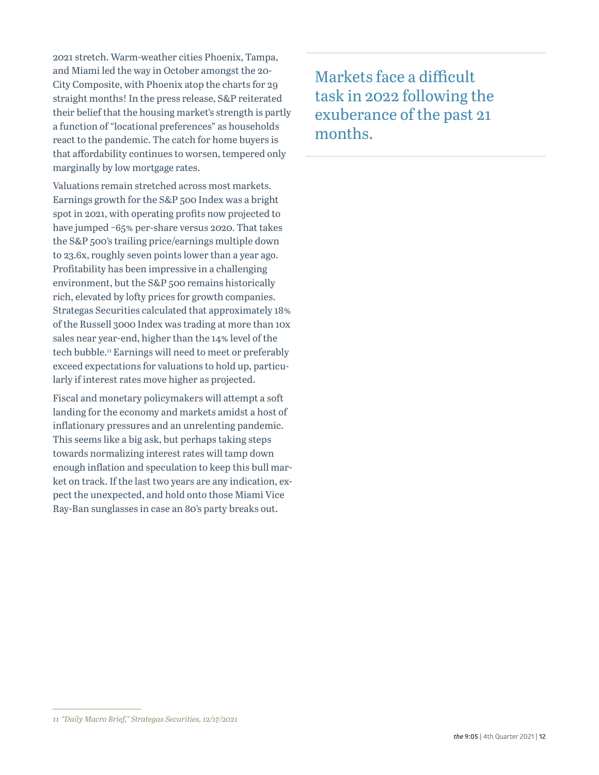2021 stretch. Warm-weather cities Phoenix, Tampa, and Miami led the way in October amongst the 20- City Composite, with Phoenix atop the charts for 29 straight months! In the press release, S&P reiterated their belief that the housing market's strength is partly a function of "locational preferences" as households react to the pandemic. The catch for home buyers is that affordability continues to worsen, tempered only marginally by low mortgage rates.

Valuations remain stretched across most markets. Earnings growth for the S&P 500 Index was a bright spot in 2021, with operating profits now projected to have jumped ~65% per-share versus 2020. That takes the S&P 500's trailing price/earnings multiple down to 23.6x, roughly seven points lower than a year ago. Profitability has been impressive in a challenging environment, but the S&P 500 remains historically rich, elevated by lofty prices for growth companies. Strategas Securities calculated that approximately 18% of the Russell 3000 Index was trading at more than 10x sales near year-end, higher than the 14% level of the tech bubble.<sup>11</sup> Earnings will need to meet or preferably exceed expectations for valuations to hold up, particularly if interest rates move higher as projected.

Fiscal and monetary policymakers will attempt a soft landing for the economy and markets amidst a host of inflationary pressures and an unrelenting pandemic. This seems like a big ask, but perhaps taking steps towards normalizing interest rates will tamp down enough inflation and speculation to keep this bull market on track. If the last two years are any indication, expect the unexpected, and hold onto those Miami Vice Ray-Ban sunglasses in case an 80's party breaks out.

Markets face a difficult task in 2022 following the exuberance of the past 21 months.

*<sup>11</sup> "Daily Macro Brief," Strategas Securities, 12/17/2021*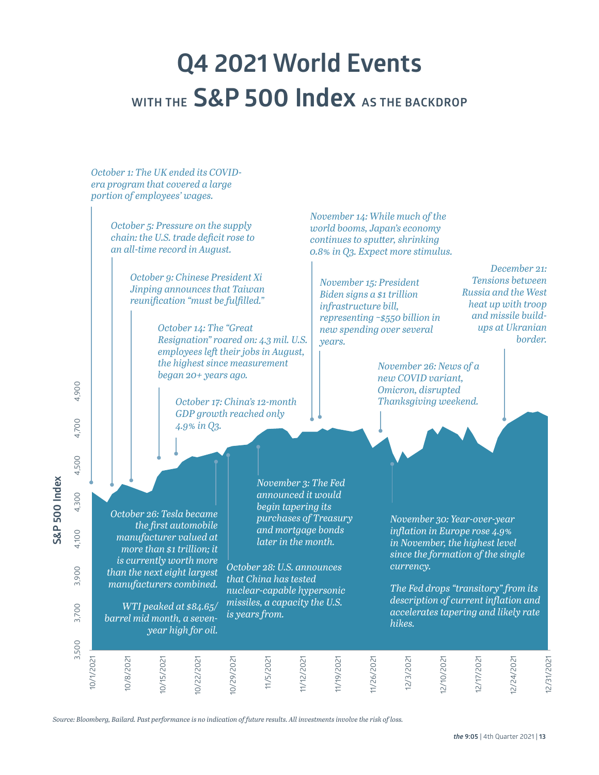# **Q4 2021 World Events**  WITH THE **S&P 500 Index** AS THE BACKDROP

*October 1: The UK ended its COVIDera program that covered a large portion of employees' wages.*

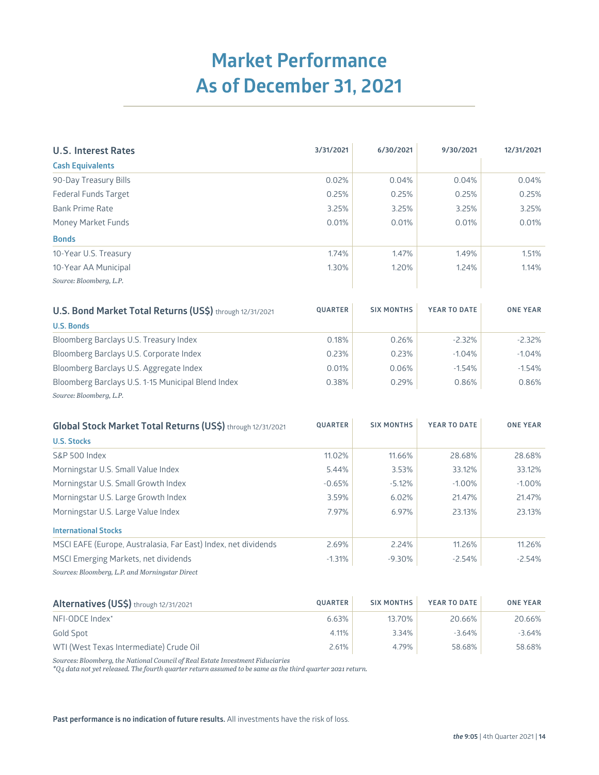## **Market Performance As of December 31, 2021**

| <b>U.S. Interest Rates</b> | 3/31/2021 | 6/30/2021 | 9/30/2021 | 12/31/2021 |
|----------------------------|-----------|-----------|-----------|------------|
| <b>Cash Equivalents</b>    |           |           |           |            |
| 90-Day Treasury Bills      | 0.02%     | 0.04%     | 0.04%     | 0.04%      |
| Federal Funds Target       | 0.25%     | 0.25%     | 0.25%     | 0.25%      |
| <b>Bank Prime Rate</b>     | 3.25%     | 3.25%     | 3.25%     | 3.25%      |
| Money Market Funds         | 0.01%     | 0.01%     | 0.01%     | 0.01%      |
| <b>Bonds</b>               |           |           |           |            |
| 10-Year U.S. Treasury      | 1.74%     | 1.47%     | 1.49%     | 1.51%      |
| 10-Year AA Municipal       | 1.30%     | 1.20%     | 1.24%     | 1.14%      |
| Source: Bloomberg, L.P.    |           |           |           |            |

| U.S. Bond Market Total Returns (US\$) through 12/31/2021 | <b>QUARTER</b> | <b>SIX MONTHS</b> | YEAR TO DATE | <b>ONE YEAR</b> |
|----------------------------------------------------------|----------------|-------------------|--------------|-----------------|
| <b>U.S. Bonds</b>                                        |                |                   |              |                 |
| Bloomberg Barclays U.S. Treasury Index                   | 0.18%          | 0.26%             | $-2.32\%$    | $-2.32%$        |
| Bloomberg Barclays U.S. Corporate Index                  | 0.23%          | 0.23%             | $-1.04%$     | $-1.04%$        |
| Bloomberg Barclays U.S. Aggregate Index                  | 0.01%          | 0.06%             | $-1.54%$     | $-1.54%$        |
| Bloomberg Barclays U.S. 1-15 Municipal Blend Index       | 0.38%          | 0.29%             | 0.86%        | 0.86%           |
| Source: Bloomberg, L.P.                                  |                |                   |              |                 |

| Global Stock Market Total Returns (US\$) through 12/31/2021    | <b>QUARTER</b> | <b>SIX MONTHS</b> | YEAR TO DATE | <b>ONE YEAR</b> |
|----------------------------------------------------------------|----------------|-------------------|--------------|-----------------|
| <b>U.S. Stocks</b>                                             |                |                   |              |                 |
| S&P 500 Index                                                  | 11.02%         | 11.66%            | 28.68%       | 28.68%          |
| Morningstar U.S. Small Value Index                             | 5.44%          | 3.53%             | 33.12%       | 33.12%          |
| Morningstar U.S. Small Growth Index                            | $-0.65%$       | $-5.12%$          | $-1.00\%$    | $-1.00\%$       |
| Morningstar U.S. Large Growth Index                            | 3.59%          | 6.02%             | 21.47%       | 21.47%          |
| Morningstar U.S. Large Value Index                             | 7.97%          | 6.97%             | 23.13%       | 23.13%          |
| <b>International Stocks</b>                                    |                |                   |              |                 |
| MSCI EAFE (Europe, Australasia, Far East) Index, net dividends | 2.69%          | 2.24%             | 11.26%       | 11.26%          |
| MSCI Emerging Markets, net dividends                           | $-1.31%$       | $-9.30%$          | $-2.54%$     | $-2.54%$        |
| Sources: Bloomberg, L.P. and Morningstar Direct                |                |                   |              |                 |

| Alternatives (US\$) through 12/31/2021  | <b>QUARTER</b> | <b>SIX MONTHS</b> | YEAR TO DATE | <b>ONE YEAR</b> |
|-----------------------------------------|----------------|-------------------|--------------|-----------------|
| NFI-ODCE Index*                         | 6.63%          | 13.70%            | 20.66%       | 20.66%          |
| Gold Spot                               | 4.11%          | 3.34%             | $-3.64\%$    | -3.64%          |
| WTI (West Texas Intermediate) Crude Oil | 2.61%          | 4.79%             | 58.68%       | 58.68%          |

*Sources: Bloomberg, the National Council of Real Estate Investment Fiduciaries*

*\*Q4 data not yet released. The fourth quarter return assumed to be same as the third quarter 2021 return.*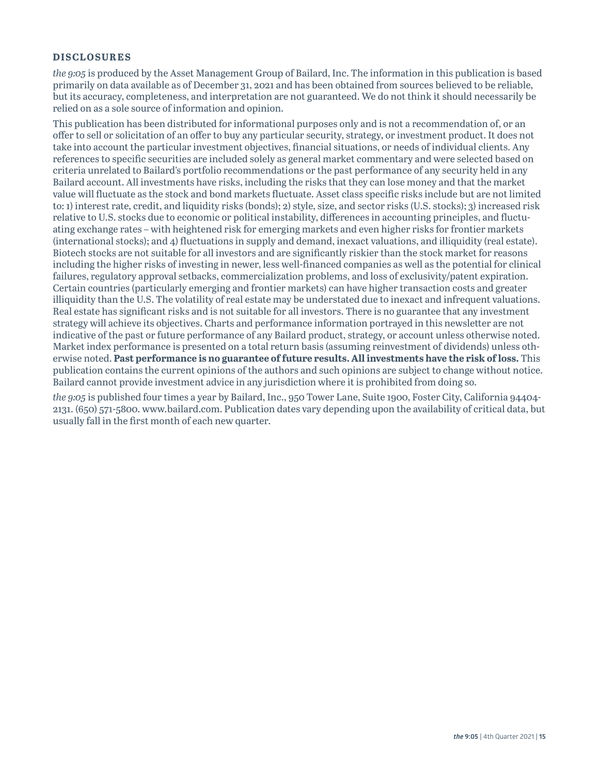#### **DISCLOSURES**

*the 9:05* is produced by the Asset Management Group of Bailard, Inc. The information in this publication is based primarily on data available as of December 31, 2021 and has been obtained from sources believed to be reliable, but its accuracy, completeness, and interpretation are not guaranteed. We do not think it should necessarily be relied on as a sole source of information and opinion.

This publication has been distributed for informational purposes only and is not a recommendation of, or an offer to sell or solicitation of an offer to buy any particular security, strategy, or investment product. It does not take into account the particular investment objectives, financial situations, or needs of individual clients. Any references to specific securities are included solely as general market commentary and were selected based on criteria unrelated to Bailard's portfolio recommendations or the past performance of any security held in any Bailard account. All investments have risks, including the risks that they can lose money and that the market value will fluctuate as the stock and bond markets fluctuate. Asset class specific risks include but are not limited to: 1) interest rate, credit, and liquidity risks (bonds); 2) style, size, and sector risks (U.S. stocks); 3) increased risk relative to U.S. stocks due to economic or political instability, differences in accounting principles, and fluctuating exchange rates – with heightened risk for emerging markets and even higher risks for frontier markets (international stocks); and 4) fluctuations in supply and demand, inexact valuations, and illiquidity (real estate). Biotech stocks are not suitable for all investors and are significantly riskier than the stock market for reasons including the higher risks of investing in newer, less well-financed companies as well as the potential for clinical failures, regulatory approval setbacks, commercialization problems, and loss of exclusivity/patent expiration. Certain countries (particularly emerging and frontier markets) can have higher transaction costs and greater illiquidity than the U.S. The volatility of real estate may be understated due to inexact and infrequent valuations. Real estate has significant risks and is not suitable for all investors. There is no guarantee that any investment strategy will achieve its objectives. Charts and performance information portrayed in this newsletter are not indicative of the past or future performance of any Bailard product, strategy, or account unless otherwise noted. Market index performance is presented on a total return basis (assuming reinvestment of dividends) unless otherwise noted. **Past performance is no guarantee of future results. All investments have the risk of loss.** This publication contains the current opinions of the authors and such opinions are subject to change without notice. Bailard cannot provide investment advice in any jurisdiction where it is prohibited from doing so.

*the 9:05* is published four times a year by Bailard, Inc., 950 Tower Lane, Suite 1900, Foster City, California 94404- 2131. (650) 571-5800. www.bailard.com. Publication dates vary depending upon the availability of critical data, but usually fall in the first month of each new quarter.